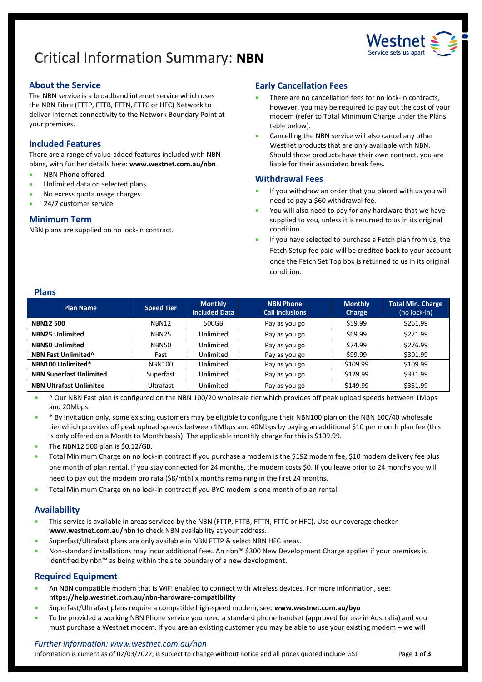# Critical Information Summary: **NBN**



# **About the Service**

The NBN service is a broadband internet service which uses the NBN Fibre (FTTP, FTTB, FTTN, FTTC or HFC) Network to deliver internet connectivity to the Network Boundary Point at your premises.

# **Included Features**

There are a range of value-added features included with NBN plans, with further details here: **[www.westnet.com.au/nbn](http://www.westnet.com.au/nbn)**

- NBN Phone offered
- Unlimited data on selected plans
- No excess quota usage charges
- 24/7 customer service

## **Minimum Term**

NBN plans are supplied on no lock-in contract.

# **Early Cancellation Fees**

- There are no cancellation fees for no lock-in contracts, however, you may be required to pay out the cost of your modem (refer to Total Minimum Charge under the Plans table below).
- Cancelling the NBN service will also cancel any other Westnet products that are only available with NBN. Should those products have their own contract, you are liable for their associated break fees.

## **Withdrawal Fees**

- If you withdraw an order that you placed with us you will need to pay a \$60 withdrawal fee.
- You will also need to pay for any hardware that we have supplied to you, unless it is returned to us in its original condition.
- If you have selected to purchase a Fetch plan from us, the Fetch Setup fee paid will be credited back to your account once the Fetch Set Top box is returned to us in its original condition.

## **Plans**

| <b>Plan Name</b>                | <b>Speed Tier</b> | <b>Monthly</b><br><b>Included Data</b> | <b>NBN Phone</b><br><b>Call Inclusions</b> | <b>Monthly</b><br>Charge | <b>Total Min. Charge</b><br>(no lock-in) |
|---------------------------------|-------------------|----------------------------------------|--------------------------------------------|--------------------------|------------------------------------------|
| <b>NBN12500</b>                 | NBN12             | 500GB                                  | Pay as you go                              | \$59.99                  | \$261.99                                 |
| <b>NBN25 Unlimited</b>          | <b>NBN25</b>      | Unlimited                              | Pay as you go                              | \$69.99                  | \$271.99                                 |
| <b>NBN50 Unlimited</b>          | NBN50             | Unlimited                              | Pay as you go                              | \$74.99                  | \$276.99                                 |
| NBN Fast Unlimited <sup>^</sup> | Fast              | Unlimited                              | Pay as you go                              | \$99.99                  | \$301.99                                 |
| NBN100 Unlimited*               | <b>NBN100</b>     | Unlimited                              | Pay as you go                              | \$109.99                 | \$109.99                                 |
| <b>NBN Superfast Unlimited</b>  | Superfast         | Unlimited                              | Pay as you go                              | \$129.99                 | \$331.99                                 |
| <b>NBN Ultrafast Unlimited</b>  | Ultrafast         | Unlimited                              | Pay as you go                              | \$149.99                 | \$351.99                                 |

• ^ Our NBN Fast plan is configured on the NBN 100/20 wholesale tier which provides off peak upload speeds between 1Mbps and 20Mbps.

- \* By invitation only, some existing customers may be eligible to configure their NBN100 plan on the NBN 100/40 wholesale tier which provides off peak upload speeds between 1Mbps and 40Mbps by paying an additional \$10 per month plan fee (this is only offered on a Month to Month basis). The applicable monthly charge for this is \$109.99.
- The NBN12 500 plan is \$0.12/GB.
- Total Minimum Charge on no lock-in contract if you purchase a modem is the \$192 modem fee, \$10 modem delivery fee plus one month of plan rental. If you stay connected for 24 months, the modem costs \$0. If you leave prior to 24 months you will need to pay out the modem pro rata (\$8/mth) x months remaining in the first 24 months.
- Total Minimum Charge on no lock-in contract if you BYO modem is one month of plan rental.

## **Availability**

- This service is available in areas serviced by the NBN (FTTP, FTTB, FTTN, FTTC or HFC). Use ou[r coverage checker](https://www.westnet.com.au/internet-products/broadband/nbn/coverage/) **[www.westnet.com.au/nbn](http://www.westnet.com.au/nbn)** to check NBN availability at your address.
- Superfast/Ultrafast plans are only available in NBN FTTP & select NBN HFC areas.
- Non-standard installations may incur additional fees. An nbn™ \$300 New Development Charge applies if your premises is identified by nbn™ as being within the site boundary of a new development.

## **Required Equipment**

- An NBN compatible modem that is WiFi enabled to connect with wireless devices. For more information, see: **<https://help.westnet.com.au/nbn-hardware-compatibility>**
- Superfast/Ultrafast plans require a compatible high-speed modem, see: **[www.westnet.com.au/byo](http://www.westnet.com.au/byo)**
- To be provided a working NBN Phone service you need a standard phone handset (approved for use in Australia) and you must purchase a Westnet modem. If you are an existing customer you may be able to use your existing modem – we will

## *Further information: www.westnet.com.au/nbn*

Information is current as of 02/03/2022, is subject to change without notice and all prices quoted include GST Page **1** of **3**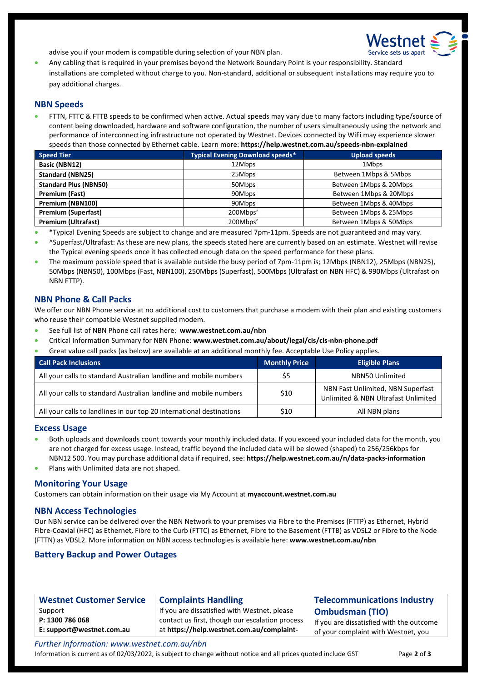

advise you if your modem is compatible during selection of your NBN plan.

• Any cabling that is required in your premises beyond the Network Boundary Point is your responsibility. Standard installations are completed without charge to you. Non-standard, additional or subsequent installations may require you to pay additional charges.

#### **NBN Speeds**

• FTTN, FTTC & FTTB speeds to be confirmed when active. Actual speeds may vary due to many factors including type/source of content being downloaded, hardware and software configuration, the number of users simultaneously using the network and performance of interconnecting infrastructure not operated by Westnet. Devices connected by WiFi may experience slower speeds than those connected by Ethernet cable. Learn more: **<https://help.westnet.com.au/speeds-nbn-explained>**

| <b>Speed Tier</b>            | <b>Typical Evening Download speeds*</b> | <b>Upload speeds</b>   |
|------------------------------|-----------------------------------------|------------------------|
| Basic (NBN12)                | 12Mbps                                  | 1Mbps                  |
| <b>Standard (NBN25)</b>      | 25Mbps                                  | Between 1Mbps & 5Mbps  |
| <b>Standard Plus (NBN50)</b> | 50Mbps                                  | Between 1Mbps & 20Mbps |
| Premium (Fast)               | 90Mbps                                  | Between 1Mbps & 20Mbps |
| Premium (NBN100)             | 90Mbps                                  | Between 1Mbps & 40Mbps |
| <b>Premium (Superfast)</b>   | 200Mbps <sup>^</sup>                    | Between 1Mbps & 25Mbps |
| <b>Premium (Ultrafast)</b>   | 200Mbps <sup>^</sup>                    | Between 1Mbps & 50Mbps |

- **\***Typical Evening Speeds are subject to change and are measured 7pm-11pm. Speeds are not guaranteed and may vary.
- ^Superfast/Ultrafast: As these are new plans, the speeds stated here are currently based on an estimate. Westnet will revise the Typical evening speeds once it has collected enough data on the speed performance for these plans.
- The maximum possible speed that is available outside the busy period of 7pm-11pm is; 12Mbps (NBN12), 25Mbps (NBN25), 50Mbps (NBN50), 100Mbps (Fast, NBN100), 250Mbps (Superfast), 500Mbps (Ultrafast on NBN HFC) & 990Mbps (Ultrafast on NBN FTTP).

#### **NBN Phone & Call Packs**

We offer our NBN Phone service at no additional cost to customers that purchase a modem with their plan and existing customers who reuse their compatible Westnet supplied modem.

- See full list of NBN Phone call rates here: **[www.westnet.com.au/nbn](http://www.westnet.com.au/nbn)**
- Critical Information Summary for NBN Phone: **[www.westnet.com.au/about/legal/cis/cis-nbn-phone.pdf](http://www.westnet.com.au/about/legal/cis/cis-nbn-phone.pdf)**
- Great value call packs (as below) are available at an additional monthly fee. Acceptable Use Policy applies.

| <b>Call Pack Inclusions</b>                                          | Monthly Price | <b>Eligible Plans</b>                                                    |
|----------------------------------------------------------------------|---------------|--------------------------------------------------------------------------|
| All your calls to standard Australian landline and mobile numbers    | \$5           | <b>NBN50 Unlimited</b>                                                   |
| All your calls to standard Australian landline and mobile numbers    | \$10          | NBN Fast Unlimited, NBN Superfast<br>Unlimited & NBN Ultrafast Unlimited |
| All your calls to landlines in our top 20 international destinations | \$10          | All NBN plans                                                            |

#### **Excess Usage**

- Both uploads and downloads count towards your monthly included data. If you exceed your included data for the month, you are not charged for excess usage. Instead, traffic beyond the included data will be slowed (shaped) to 256/256kbps for NBN12 500. You may purchase additional data if required, see: **<https://help.westnet.com.au/n/data-packs-information>**
- Plans with Unlimited data are not shaped.

#### **Monitoring Your Usage**

Customers can obtain information on their usage via My Account at **[myaccount.westnet.com.au](https://myaccount3.westnet.com.au/)**

#### **NBN Access Technologies**

Our NBN service can be delivered over the NBN Network to your premises via Fibre to the Premises (FTTP) as Ethernet, Hybrid Fibre-Coaxial (HFC) as Ethernet, Fibre to the Curb (FTTC) as Ethernet, Fibre to the Basement (FTTB) as VDSL2 or Fibre to the Node (FTTN) as VDSL2. More information on NBN access technologies is available here: **[www.westnet.com.au/nbn](http://www.westnet.com.au/nbn)** 

## **Battery Backup and Power Outages**

| <b>Westnet Customer Service</b> | <b>Complaints Handling</b>                      | <b>Telecommunications Industry</b>       |
|---------------------------------|-------------------------------------------------|------------------------------------------|
| Support                         | If you are dissatisfied with Westnet, please    | <b>Ombudsman (TIO)</b>                   |
| P: 1300 786 068                 | contact us first, though our escalation process | If you are dissatisfied with the outcome |
| E: support@westnet.com.au       | at https://help.westnet.com.au/complaint-       | of your complaint with Westnet, you      |

*Further information: www.westnet.com.au/nbn* Information is current as of 02/03/2022, is subject to change without notice and all prices quoted include GST Page **2** of **3**